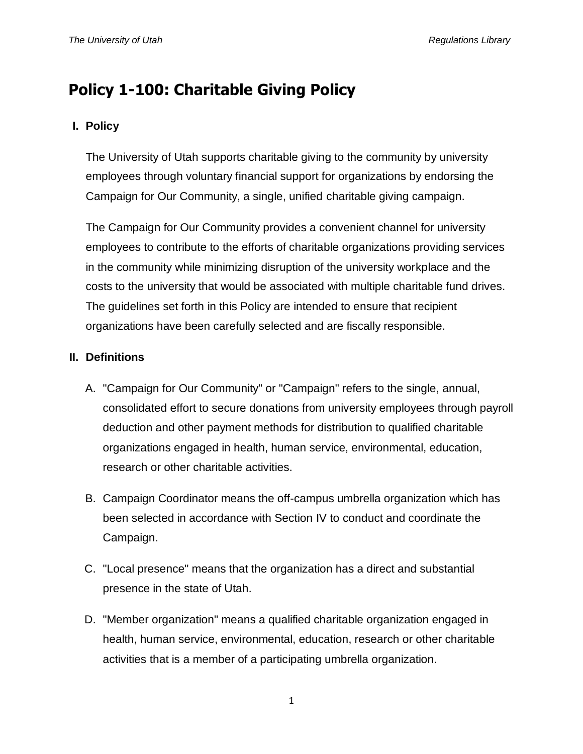# **Policy 1-100: Charitable Giving Policy**

# **I. Policy**

The University of Utah supports charitable giving to the community by university employees through voluntary financial support for organizations by endorsing the Campaign for Our Community, a single, unified charitable giving campaign.

The Campaign for Our Community provides a convenient channel for university employees to contribute to the efforts of charitable organizations providing services in the community while minimizing disruption of the university workplace and the costs to the university that would be associated with multiple charitable fund drives. The guidelines set forth in this Policy are intended to ensure that recipient organizations have been carefully selected and are fiscally responsible.

## **II. Definitions**

- A. "Campaign for Our Community" or "Campaign" refers to the single, annual, consolidated effort to secure donations from university employees through payroll deduction and other payment methods for distribution to qualified charitable organizations engaged in health, human service, environmental, education, research or other charitable activities.
- B. Campaign Coordinator means the off-campus umbrella organization which has been selected in accordance with Section IV to conduct and coordinate the Campaign.
- C. "Local presence" means that the organization has a direct and substantial presence in the state of Utah.
- D. "Member organization" means a qualified charitable organization engaged in health, human service, environmental, education, research or other charitable activities that is a member of a participating umbrella organization.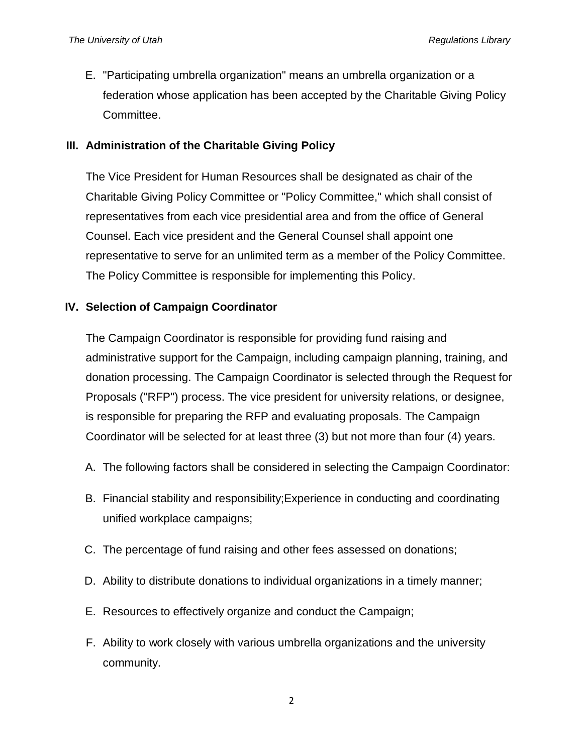E. "Participating umbrella organization" means an umbrella organization or a federation whose application has been accepted by the Charitable Giving Policy Committee.

## **III. Administration of the Charitable Giving Policy**

The Vice President for Human Resources shall be designated as chair of the Charitable Giving Policy Committee or "Policy Committee," which shall consist of representatives from each vice presidential area and from the office of General Counsel. Each vice president and the General Counsel shall appoint one representative to serve for an unlimited term as a member of the Policy Committee. The Policy Committee is responsible for implementing this Policy.

## **IV. Selection of Campaign Coordinator**

The Campaign Coordinator is responsible for providing fund raising and administrative support for the Campaign, including campaign planning, training, and donation processing. The Campaign Coordinator is selected through the Request for Proposals ("RFP") process. The vice president for university relations, or designee, is responsible for preparing the RFP and evaluating proposals. The Campaign Coordinator will be selected for at least three (3) but not more than four (4) years.

- A. The following factors shall be considered in selecting the Campaign Coordinator:
- B. Financial stability and responsibility;Experience in conducting and coordinating unified workplace campaigns;
- C. The percentage of fund raising and other fees assessed on donations;
- D. Ability to distribute donations to individual organizations in a timely manner;
- E. Resources to effectively organize and conduct the Campaign;
- F. Ability to work closely with various umbrella organizations and the university community.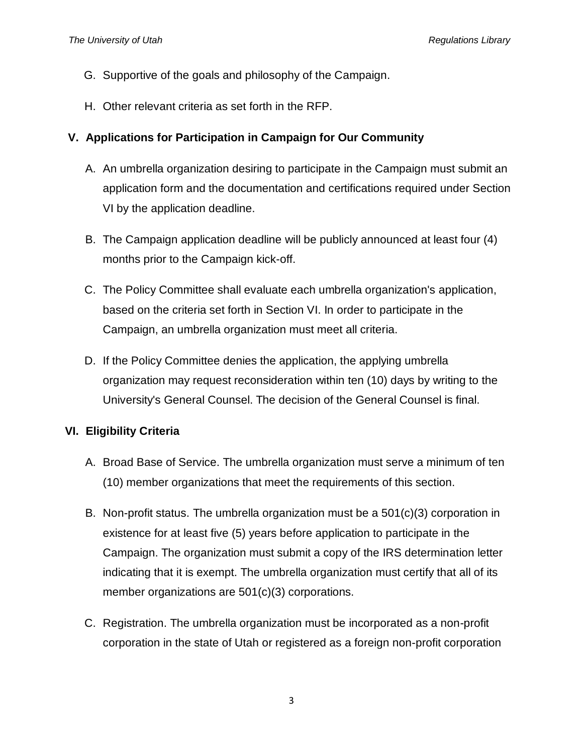- G. Supportive of the goals and philosophy of the Campaign.
- H. Other relevant criteria as set forth in the RFP.

## **V. Applications for Participation in Campaign for Our Community**

- A. An umbrella organization desiring to participate in the Campaign must submit an application form and the documentation and certifications required under Section VI by the application deadline.
- B. The Campaign application deadline will be publicly announced at least four (4) months prior to the Campaign kick-off.
- C. The Policy Committee shall evaluate each umbrella organization's application, based on the criteria set forth in Section VI. In order to participate in the Campaign, an umbrella organization must meet all criteria.
- D. If the Policy Committee denies the application, the applying umbrella organization may request reconsideration within ten (10) days by writing to the University's General Counsel. The decision of the General Counsel is final.

## **VI. Eligibility Criteria**

- A. Broad Base of Service. The umbrella organization must serve a minimum of ten (10) member organizations that meet the requirements of this section.
- B. Non-profit status. The umbrella organization must be a  $501(c)(3)$  corporation in existence for at least five (5) years before application to participate in the Campaign. The organization must submit a copy of the IRS determination letter indicating that it is exempt. The umbrella organization must certify that all of its member organizations are 501(c)(3) corporations.
- C. Registration. The umbrella organization must be incorporated as a non-profit corporation in the state of Utah or registered as a foreign non-profit corporation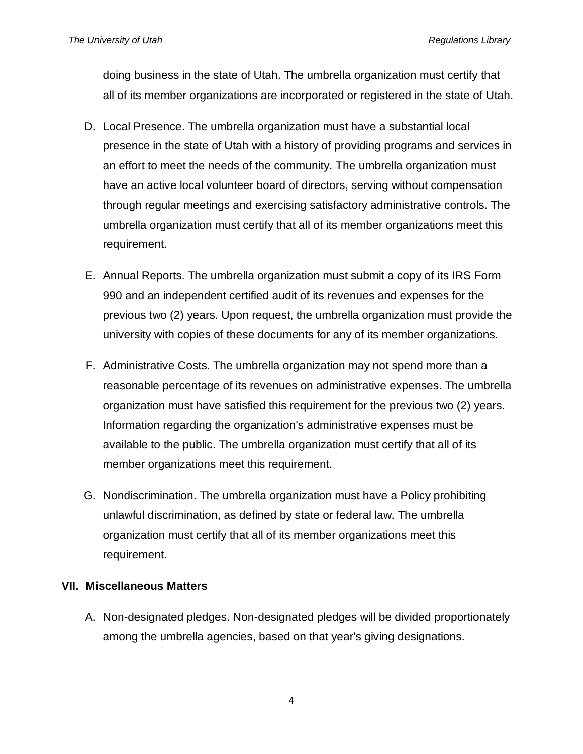doing business in the state of Utah. The umbrella organization must certify that all of its member organizations are incorporated or registered in the state of Utah.

- D. Local Presence. The umbrella organization must have a substantial local presence in the state of Utah with a history of providing programs and services in an effort to meet the needs of the community. The umbrella organization must have an active local volunteer board of directors, serving without compensation through regular meetings and exercising satisfactory administrative controls. The umbrella organization must certify that all of its member organizations meet this requirement.
- E. Annual Reports. The umbrella organization must submit a copy of its IRS Form 990 and an independent certified audit of its revenues and expenses for the previous two (2) years. Upon request, the umbrella organization must provide the university with copies of these documents for any of its member organizations.
- F. Administrative Costs. The umbrella organization may not spend more than a reasonable percentage of its revenues on administrative expenses. The umbrella organization must have satisfied this requirement for the previous two (2) years. Information regarding the organization's administrative expenses must be available to the public. The umbrella organization must certify that all of its member organizations meet this requirement.
- G. Nondiscrimination. The umbrella organization must have a Policy prohibiting unlawful discrimination, as defined by state or federal law. The umbrella organization must certify that all of its member organizations meet this requirement.

## **VII. Miscellaneous Matters**

A. Non-designated pledges. Non-designated pledges will be divided proportionately among the umbrella agencies, based on that year's giving designations.

4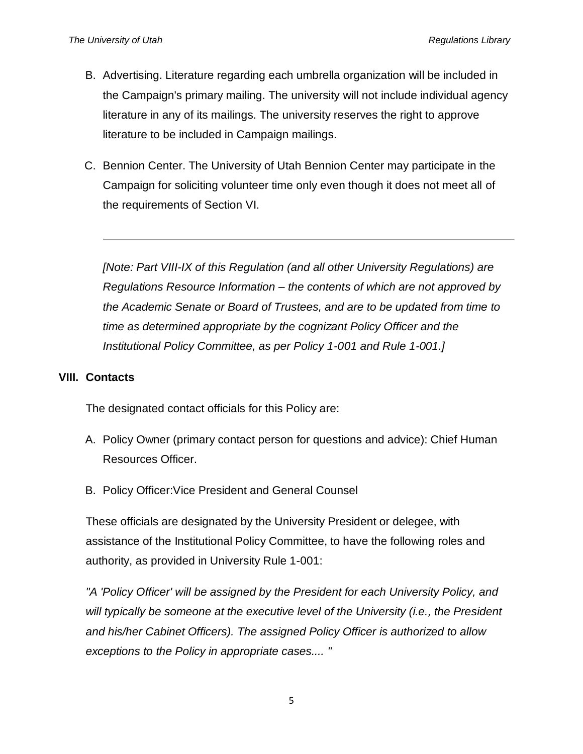- B. Advertising. Literature regarding each umbrella organization will be included in the Campaign's primary mailing. The university will not include individual agency literature in any of its mailings. The university reserves the right to approve literature to be included in Campaign mailings.
- C. Bennion Center. The University of Utah Bennion Center may participate in the Campaign for soliciting volunteer time only even though it does not meet all of the requirements of Section VI.

*[Note: Part VIII-IX of this Regulation (and all other University Regulations) are Regulations Resource Information – the contents of which are not approved by the Academic Senate or Board of Trustees, and are to be updated from time to time as determined appropriate by the cognizant Policy Officer and the Institutional Policy Committee, as per Policy 1-001 and Rule 1-001.]*

#### **VIII. Contacts**

The designated contact officials for this Policy are:

- A. Policy Owner (primary contact person for questions and advice): Chief Human Resources Officer.
- B. Policy Officer:Vice President and General Counsel

These officials are designated by the University President or delegee, with assistance of the Institutional Policy Committee, to have the following roles and authority, as provided in University Rule 1-001:

*"A 'Policy Officer' will be assigned by the President for each University Policy, and will typically be someone at the executive level of the University (i.e., the President and his/her Cabinet Officers). The assigned Policy Officer is authorized to allow exceptions to the Policy in appropriate cases.... "*